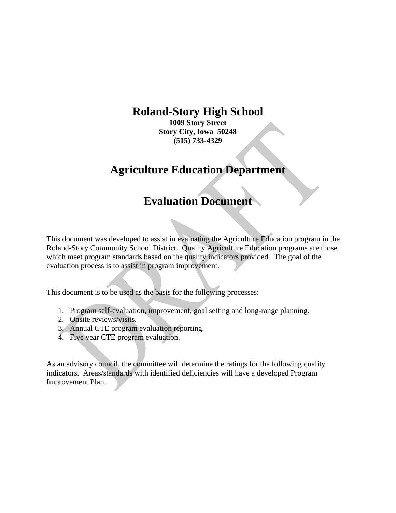# **Roland-Story High School**

**1009 Story Street Story City, Iowa 50248 (515) 733-4329** 

# **Agriculture Education Department**

# **Evaluation Document**

This document was developed to assist in evaluating the Agriculture Education program in the Roland-Story Community School District. Quality Agriculture Education programs are those which meet program standards based on the quality indicators provided. The goal of the evaluation process is to assist in program improvement.

This document is to be used as the basis for the following processes:

- 1. Program self-evaluation, improvement, goal setting and long-range planning.
- 2. Onsite reviews/visits.
- 3. Annual CTE program evaluation reporting.
- 4. Five year CTE program evaluation.

As an advisory council, the committee will determine the ratings for the following quality indicators. Areas/standards with identified deficiencies will have a developed Program Improvement Plan.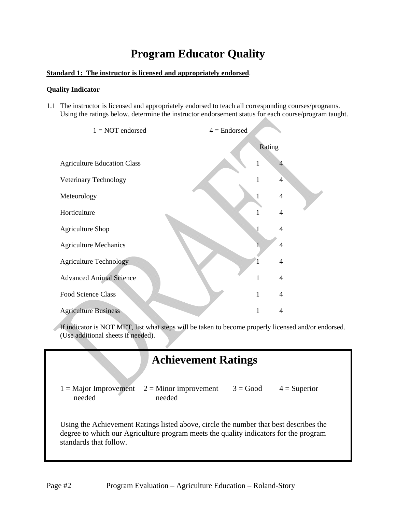# **Program Educator Quality**

### **Standard 1: The instructor is licensed and appropriately endorsed**.

### **Quality Indicator**

1.1 The instructor is licensed and appropriately endorsed to teach all corresponding courses/programs. Using the ratings below, determine the instructor endorsement status for each course/program taught.



If indicator is NOT MET, list what steps will be taken to become properly licensed and/or endorsed. (Use additional sheets if needed).

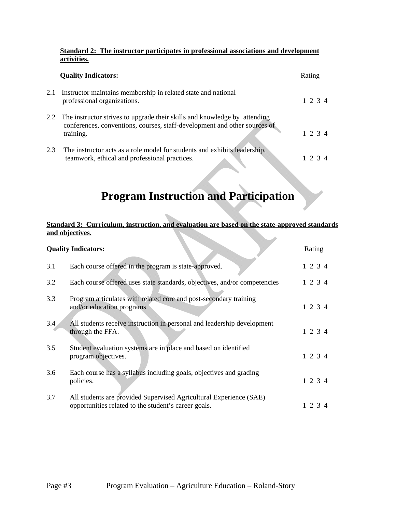### **Standard 2: The instructor participates in professional associations and development activities.**

|     | <b>Quality Indicators:</b>                                                                                                                                              | Rating          |
|-----|-------------------------------------------------------------------------------------------------------------------------------------------------------------------------|-----------------|
| 2.1 | Instructor maintains membership in related state and national<br>professional organizations.                                                                            | 1, 2, 3, 4      |
|     | 2.2 The instructor strives to upgrade their skills and knowledge by attending<br>conferences, conventions, courses, staff-development and other sources of<br>training. | $1 \t2 \t3 \t4$ |
| 2.3 | The instructor acts as a role model for students and exhibits leadership,<br>teamwork, ethical and professional practices.                                              |                 |

# **Program Instruction and Participation**

### **Standard 3: Curriculum, instruction, and evaluation are based on the state-approved standards and objectives.**

|     | <b>Quality Indicators:</b>                                                                                                 | Rating       |  |
|-----|----------------------------------------------------------------------------------------------------------------------------|--------------|--|
| 3.1 | Each course offered in the program is state-approved.                                                                      | $1\ 2\ 3\ 4$ |  |
| 3.2 | Each course offered uses state standards, objectives, and/or competencies                                                  | 1 2 3 4      |  |
| 3.3 | Program articulates with related core and post-secondary training<br>and/or education programs                             | 1 2 3 4      |  |
| 3.4 | All students receive instruction in personal and leadership development<br>through the FFA.                                | 1 2 3 4      |  |
| 3.5 | Student evaluation systems are in place and based on identified<br>program objectives.                                     | 1 2 3 4      |  |
| 3.6 | Each course has a syllabus including goals, objectives and grading<br>policies.                                            | $1\ 2\ 3\ 4$ |  |
| 3.7 | All students are provided Supervised Agricultural Experience (SAE)<br>opportunities related to the student's career goals. | 1 2 3 4      |  |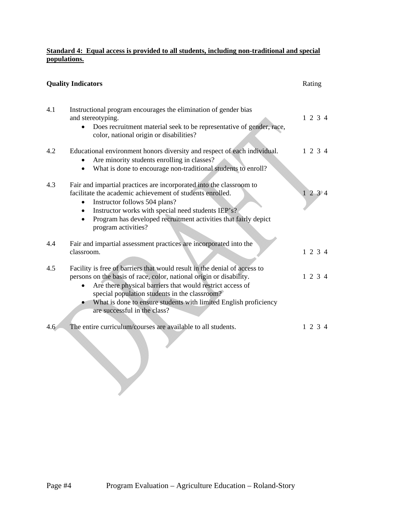### **Standard 4: Equal access is provided to all students, including non-traditional and special populations.**

|     | <b>Quality Indicators</b>                                                                                                                                                                                                                                                                                                                                          | Rating  |
|-----|--------------------------------------------------------------------------------------------------------------------------------------------------------------------------------------------------------------------------------------------------------------------------------------------------------------------------------------------------------------------|---------|
| 4.1 | Instructional program encourages the elimination of gender bias<br>and stereotyping.<br>Does recruitment material seek to be representative of gender, race,<br>color, national origin or disabilities?                                                                                                                                                            | 1234    |
| 4.2 | Educational environment honors diversity and respect of each individual.<br>Are minority students enrolling in classes?<br>What is done to encourage non-traditional students to enroll?<br>$\bullet$                                                                                                                                                              | 1 2 3 4 |
| 4.3 | Fair and impartial practices are incorporated into the classroom to<br>facilitate the academic achievement of students enrolled.<br>Instructor follows 504 plans?<br>Instructor works with special need students IEP's?<br>$\bullet$<br>Program has developed recruitment activities that fairly depict<br>$\bullet$<br>program activities?                        | 1234    |
| 4.4 | Fair and impartial assessment practices are incorporated into the<br>classroom.                                                                                                                                                                                                                                                                                    | 1234    |
| 4.5 | Facility is free of barriers that would result in the denial of access to<br>persons on the basis of race, color, national origin or disability.<br>Are there physical barriers that would restrict access of<br>special population students in the classroom?<br>What is done to ensure students with limited English proficiency<br>are successful in the class? | 1234    |
| 4.6 | The entire curriculum/courses are available to all students.                                                                                                                                                                                                                                                                                                       | 1 2 3 4 |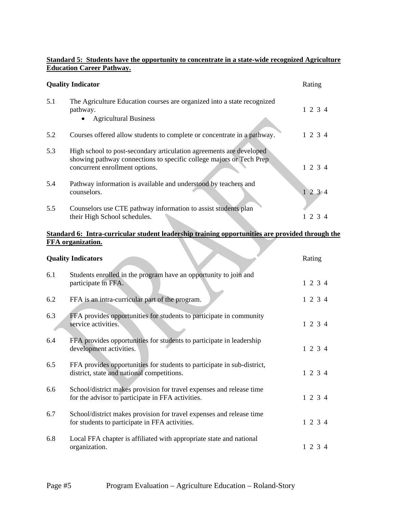### **Standard 5: Students have the opportunity to concentrate in a state-wide recognized Agriculture Education Career Pathway.**

| <b>Quality Indicator</b> |                                                                                                                                                                              | Rating  |
|--------------------------|------------------------------------------------------------------------------------------------------------------------------------------------------------------------------|---------|
| 5.1                      | The Agriculture Education courses are organized into a state recognized<br>pathway.<br><b>Agricultural Business</b>                                                          | 1 2 3 4 |
| 5.2                      | Courses offered allow students to complete or concentrate in a pathway.                                                                                                      | 1 2 3 4 |
| 5.3                      | High school to post-secondary articulation agreements are developed<br>showing pathway connections to specific college majors or Tech Prep<br>concurrent enrollment options. | 1 2 3 4 |
| 5.4                      | Pathway information is available and understood by teachers and<br>counselors.                                                                                               | 1234    |
| 5.5                      | Counselors use CTE pathway information to assist students plan<br>their High School schedules.                                                                               | 2       |

### **Standard 6: Intra-curricular student leadership training opportunities are provided through the FFA organization.**

|     | <b>Quality Indicators</b>                                                                                                 | Rating       |
|-----|---------------------------------------------------------------------------------------------------------------------------|--------------|
| 6.1 | Students enrolled in the program have an opportunity to join and<br>participate in FFA.                                   | 1 2 3 4      |
| 6.2 | FFA is an intra-curricular part of the program.                                                                           | 1 2 3 4      |
| 6.3 | FFA provides opportunities for students to participate in community<br>service activities.                                | 1234         |
| 6.4 | FFA provides opportunities for students to participate in leadership<br>development activities.                           | 1234         |
| 6.5 | FFA provides opportunities for students to participate in sub-district,<br>district, state and national competitions.     | 1 2 3 4      |
| 6.6 | School/district makes provision for travel expenses and release time<br>for the advisor to participate in FFA activities. | 1 2 3 4      |
| 6.7 | School/district makes provision for travel expenses and release time<br>for students to participate in FFA activities.    | $1\ 2\ 3\ 4$ |
| 6.8 | Local FFA chapter is affiliated with appropriate state and national<br>organization.                                      | 1 2 3 4      |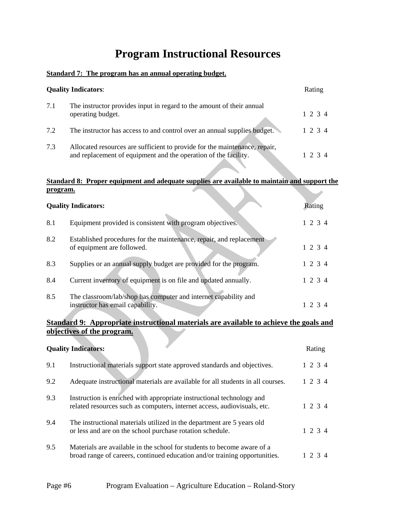# **Program Instructional Resources**

## **Standard 7: The program has an annual operating budget.**

| <b>Quality Indicators:</b> |                                                                                                                                               | Rating |              |
|----------------------------|-----------------------------------------------------------------------------------------------------------------------------------------------|--------|--------------|
| 7.1                        | The instructor provides input in regard to the amount of their annual<br>operating budget.                                                    |        | $1\,2\,3\,4$ |
| 7.2                        | The instructor has access to and control over an annual supplies budget.                                                                      |        | 1 2 3 4      |
| 7.3                        | Allocated resources are sufficient to provide for the maintenance, repair,<br>and replacement of equipment and the operation of the facility. |        | 1 2 3 4      |

### **Standard 8: Proper equipment and adequate supplies are available to maintain and support the program.**

|     | <b>Quality Indicators:</b>                                                                          | Rating  |
|-----|-----------------------------------------------------------------------------------------------------|---------|
| 8.1 | Equipment provided is consistent with program objectives.                                           | 1 2 3 4 |
| 8.2 | Established procedures for the maintenance, repair, and replacement<br>of equipment are followed.   | 1 2 3 4 |
| 8.3 | Supplies or an annual supply budget are provided for the program.                                   | 1 2 3 4 |
| 8.4 | Current inventory of equipment is on file and updated annually.                                     | 1 2 3 4 |
| 8.5 | The classroom/lab/shop has computer and internet capability and<br>instructor has email capability. | 1 2 3 4 |

# **Standard 9: Appropriate instructional materials are available to achieve the goals and objectives of the program.**

|     | <b>Quality Indicators:</b>                                                                                                                            |  | Rating  |  |
|-----|-------------------------------------------------------------------------------------------------------------------------------------------------------|--|---------|--|
| 9.1 | Instructional materials support state approved standards and objectives.                                                                              |  | 1 2 3 4 |  |
| 9.2 | Adequate instructional materials are available for all students in all courses.                                                                       |  | 1234    |  |
| 9.3 | Instruction is enriched with appropriate instructional technology and<br>related resources such as computers, internet access, audiovisuals, etc.     |  | 1 2 3 4 |  |
| 9.4 | The instructional materials utilized in the department are 5 years old<br>or less and are on the school purchase rotation schedule.                   |  | 1 2 3 4 |  |
| 9.5 | Materials are available in the school for students to become aware of a<br>broad range of careers, continued education and/or training opportunities. |  | 1 2 3 4 |  |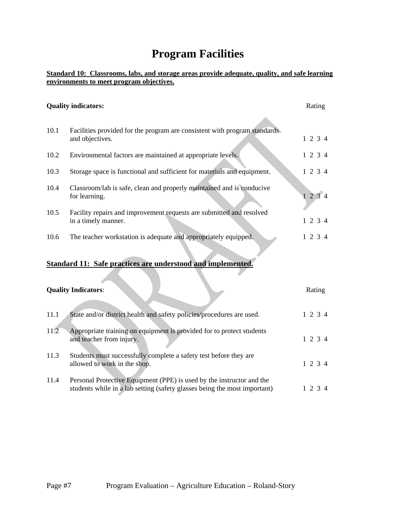# **Program Facilities**

### **Standard 10: Classrooms, labs, and storage areas provide adequate, quality, and safe learning environments to meet program objectives.**

#### **Quality indicators:** Rating Research 2008 and 2008 and 2008 and 2008 and 2008 and 2008 and 2008 and 2008 and 2008 and 2008 and 2008 and 2008 and 2008 and 2008 and 2008 and 2008 and 2008 and 2008 and 2008 and 2008 and 2008

10.1 Facilities provided for the program are consistent with program standards and objectives. 1 2 3 4 10.2 Environmental factors are maintained at appropriate levels. 1 2 3 4 10.3 Storage space is functional and sufficient for materials and equipment. 1 2 3 4 10.4 Classroom/lab is safe, clean and properly maintained and is conducive for learning.  $1 \t2 \t3 \t4$ 10.5 Facility repairs and improvement requests are submitted and resolved in a timely manner. 1 2 3 4 10.6 The teacher workstation is adequate and appropriately equipped. 1 2 3 4 **Standard 11: Safe practices are understood and implemented. Quality Indicators:** Rating 11.1 State and/or district health and safety policies/procedures are used. 1 2 3 4

- 11.2 Appropriate training on equipment is provided for to protect students and teacher from injury. 1 2 3 4 11.3 Students must successfully complete a safety test before they are allowed to work in the shop. 1 2 3 4 11.4 Personal Protective Equipment (PPE) is used by the instructor and the
- students while in a lab setting (safety glasses being the most important) 1 2 3 4